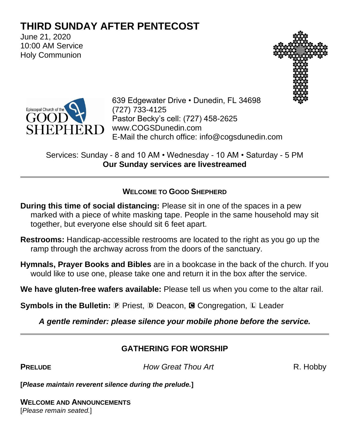# **THIRD SUNDAY AFTER PENTECOST**

June 21, 2020 10:00 AM Service Holy Communion





639 Edgewater Drive • Dunedin, FL 34698 (727) 733-4125 Pastor Becky's cell: (727) 458-2625 www.COGSDunedin.com E-Mail the church office: info@cogsdunedin.com

Services: Sunday - 8 and 10 AM • Wednesday - 10 AM • Saturday - 5 PM **Our Sunday services are livestreamed**

#### **WELCOME TO GOOD SHEPHERD**

- **During this time of social distancing:** Please sit in one of the spaces in a pew marked with a piece of white masking tape. People in the same household may sit together, but everyone else should sit 6 feet apart.
- **Restrooms:** Handicap-accessible restrooms are located to the right as you go up the ramp through the archway across from the doors of the sanctuary.
- **Hymnals, Prayer Books and Bibles** are in a bookcase in the back of the church. If you would like to use one, please take one and return it in the box after the service.

**We have gluten-free wafers available:** Please tell us when you come to the altar rail.

**Symbols in the Bulletin:** P Priest, D Deacon, **G** Congregation, L Leader

*A gentle reminder: please silence your mobile phone before the service.*

#### **GATHERING FOR WORSHIP**

**PRELUDE** *How Great Thou Art* R. Hobby

**[***Please maintain reverent silence during the prelude.***]**

**WELCOME AND ANNOUNCEMENTS** [*Please remain seated.*]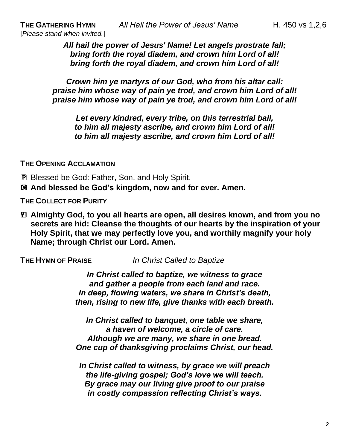*All hail the power of Jesus' Name! Let angels prostrate fall; bring forth the royal diadem, and crown him Lord of all! bring forth the royal diadem, and crown him Lord of all!* 

*Crown him ye martyrs of our God, who from his altar call: praise him whose way of pain ye trod, and crown him Lord of all! praise him whose way of pain ye trod, and crown him Lord of all!*

*Let every kindred, every tribe, on this terrestrial ball, to him all majesty ascribe, and crown him Lord of all! to him all majesty ascribe, and crown him Lord of all!*

**THE OPENING ACCLAMATION**

P Blessed be God: Father, Son, and Holy Spirit.

C **And blessed be God's kingdom, now and for ever. Amen.**

**THE COLLECT FOR PURITY**

a **Almighty God, to you all hearts are open, all desires known, and from you no secrets are hid: Cleanse the thoughts of our hearts by the inspiration of your Holy Spirit, that we may perfectly love you, and worthily magnify your holy Name; through Christ our Lord. Amen.**

**THE HYMN OF PRAISE** *In Christ Called to Baptize*

*In Christ called to baptize, we witness to grace and gather a people from each land and race. In deep, flowing waters, we share in Christ's death, then, rising to new life, give thanks with each breath.* 

*In Christ called to banquet, one table we share, a haven of welcome, a circle of care. Although we are many, we share in one bread. One cup of thanksgiving proclaims Christ, our head.* 

*In Christ called to witness, by grace we will preach the life-giving gospel; God's love we will teach. By grace may our living give proof to our praise in costly compassion reflecting Christ's ways.*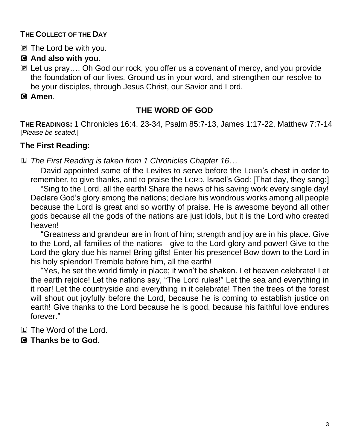#### **THE COLLECT OF THE DAY**

P The Lord be with you.

#### C **And also with you.**

P Let us pray…. Oh God our rock, you offer us a covenant of mercy, and you provide the foundation of our lives. Ground us in your word, and strengthen our resolve to be your disciples, through Jesus Christ, our Savior and Lord.

#### C **Amen**.

#### **THE WORD OF GOD**

**THE READINGS:** 1 Chronicles 16:4, 23-34, Psalm 85:7-13, James 1:17-22, Matthew 7:7-14 [*Please be seated.*]

## **The First Reading:**

L *The First Reading is taken from 1 Chronicles Chapter 16…*

David appointed some of the Levites to serve before the LORD's chest in order to remember, to give thanks, and to praise the LORD, Israel's God: [That day, they sang:]

"Sing to the Lord, all the earth! Share the news of his saving work every single day! Declare God's glory among the nations; declare his wondrous works among all people because the Lord is great and so worthy of praise. He is awesome beyond all other gods because all the gods of the nations are just idols, but it is the Lord who created heaven!

"Greatness and grandeur are in front of him; strength and joy are in his place. Give to the Lord, all families of the nations—give to the Lord glory and power! Give to the Lord the glory due his name! Bring gifts! Enter his presence! Bow down to the Lord in his holy splendor! Tremble before him, all the earth!

"Yes, he set the world firmly in place; it won't be shaken. Let heaven celebrate! Let the earth rejoice! Let the nations say, "The Lord rules!" Let the sea and everything in it roar! Let the countryside and everything in it celebrate! Then the trees of the forest will shout out joyfully before the Lord, because he is coming to establish justice on earth! Give thanks to the Lord because he is good, because his faithful love endures forever."

L The Word of the Lord.

C **Thanks be to God.**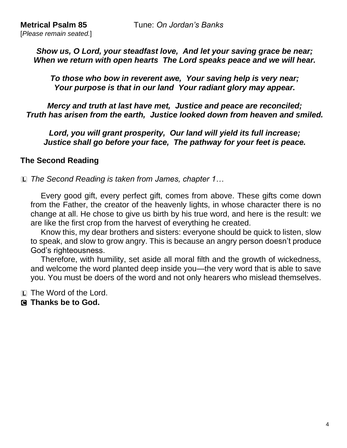*Show us, O Lord, your steadfast love, And let your saving grace be near; When we return with open hearts The Lord speaks peace and we will hear.*

*To those who bow in reverent awe, Your saving help is very near; Your purpose is that in our land Your radiant glory may appear.*

*Mercy and truth at last have met, Justice and peace are reconciled; Truth has arisen from the earth, Justice looked down from heaven and smiled.*

*Lord, you will grant prosperity, Our land will yield its full increase; Justice shall go before your face, The pathway for your feet is peace.* 

#### **The Second Reading**

L *The Second Reading is taken from James, chapter 1…*

Every good gift, every perfect gift, comes from above. These gifts come down from the Father, the creator of the heavenly lights, in whose character there is no change at all. He chose to give us birth by his true word, and here is the result: we are like the first crop from the harvest of everything he created.

Know this, my dear brothers and sisters: everyone should be quick to listen, slow to speak, and slow to grow angry. This is because an angry person doesn't produce God's righteousness.

Therefore, with humility, set aside all moral filth and the growth of wickedness, and welcome the word planted deep inside you—the very word that is able to save you. You must be doers of the word and not only hearers who mislead themselves.

L The Word of the Lord.

C **Thanks be to God.**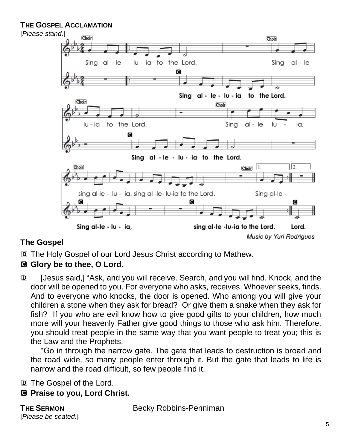#### **THE GOSPEL ACCLAMATION**



## **The Gospel**

D The Holy Gospel of our Lord Jesus Christ according to Mathew.

#### C **Glory be to thee, O Lord.**

D [Jesus said,] "Ask, and you will receive. Search, and you will find. Knock, and the door will be opened to you. For everyone who asks, receives. Whoever seeks, finds. And to everyone who knocks, the door is opened. Who among you will give your children a stone when they ask for bread? Or give them a snake when they ask for fish? If you who are evil know how to give good gifts to your children, how much more will your heavenly Father give good things to those who ask him. Therefore, you should treat people in the same way that you want people to treat you; this is the Law and the Prophets.

"Go in through the narrow gate. The gate that leads to destruction is broad and the road wide, so many people enter through it. But the gate that leads to life is narrow and the road difficult, so few people find it.

D The Gospel of the Lord.

C **Praise to you, Lord Christ.**

[*Please be seated.*]

**THE SERMON** Becky Robbins-Penniman

5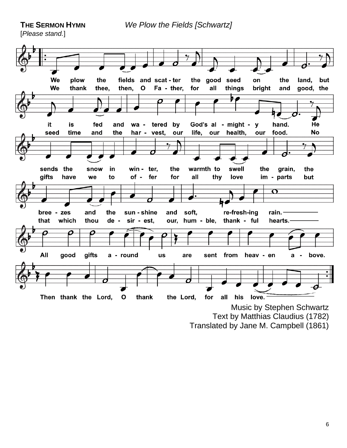**THE SERMON HYMN** *We Plow the Fields [Schwartz]* 

[*Please stand.*]



Text by Matthias Claudius (1782)

Translated by Jane M. Campbell (1861)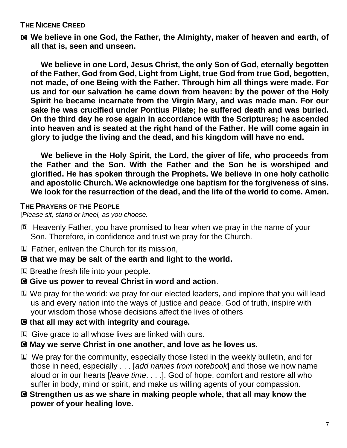#### **THE NICENE CREED**

C **We believe in one God, the Father, the Almighty, maker of heaven and earth, of all that is, seen and unseen.** 

**We believe in one Lord, Jesus Christ, the only Son of God, eternally begotten of the Father, God from God, Light from Light, true God from true God, begotten, not made, of one Being with the Father. Through him all things were made. For us and for our salvation he came down from heaven: by the power of the Holy Spirit he became incarnate from the Virgin Mary, and was made man. For our sake he was crucified under Pontius Pilate; he suffered death and was buried. On the third day he rose again in accordance with the Scriptures; he ascended into heaven and is seated at the right hand of the Father. He will come again in glory to judge the living and the dead, and his kingdom will have no end.**

**We believe in the Holy Spirit, the Lord, the giver of life, who proceeds from the Father and the Son. With the Father and the Son he is worshiped and glorified. He has spoken through the Prophets. We believe in one holy catholic and apostolic Church. We acknowledge one baptism for the forgiveness of sins. We look for the resurrection of the dead, and the life of the world to come. Amen.**

#### **THE PRAYERS OF THE PEOPLE**

[*Please sit, stand or kneel, as you choose.*]

- D Heavenly Father, you have promised to hear when we pray in the name of your Son. Therefore, in confidence and trust we pray for the Church.
- L Father, enliven the Church for its mission,
- C **that we may be salt of the earth and light to the world.**
- L Breathe fresh life into your people.

#### C **Give us power to reveal Christ in word and action**.

L We pray for the world: we pray for our elected leaders, and implore that you will lead us and every nation into the ways of justice and peace. God of truth, inspire with your wisdom those whose decisions affect the lives of others

#### C **that all may act with integrity and courage.**

- L Give grace to all whose lives are linked with ours.
- C **May we serve Christ in one another, and love as he loves us.**
- L We pray for the community, especially those listed in the weekly bulletin, and for those in need, especially . . . [*add names from notebook*] and those we now name aloud or in our hearts [*leave time*. . . .]. God of hope, comfort and restore all who suffer in body, mind or spirit, and make us willing agents of your compassion.
- C **Strengthen us as we share in making people whole, that all may know the power of your healing love.**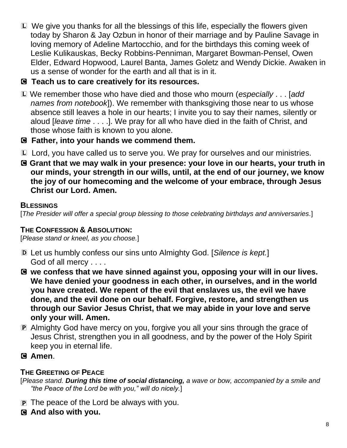- L We give you thanks for all the blessings of this life, especially the flowers given today by Sharon & Jay Ozbun in honor of their marriage and by Pauline Savage in loving memory of Adeline Martocchio, and for the birthdays this coming week of Leslie Kulikauskas, Becky Robbins-Penniman, Margaret Bowman-Pensel, Owen Elder, Edward Hopwood, Laurel Banta, James Goletz and Wendy Dickie. Awaken in us a sense of wonder for the earth and all that is in it.
- C **Teach us to care creatively for its resources.**
- L We remember those who have died and those who mourn (*especially* . . . [*add names from notebook*]). We remember with thanksgiving those near to us whose absence still leaves a hole in our hearts; I invite you to say their names, silently or aloud [*leave time* . . . .]. We pray for all who have died in the faith of Christ, and those whose faith is known to you alone.
- C **Father, into your hands we commend them.**
- L Lord, you have called us to serve you. We pray for ourselves and our ministries.
- C **Grant that we may walk in your presence: your love in our hearts, your truth in our minds, your strength in our wills, until, at the end of our journey, we know the joy of our homecoming and the welcome of your embrace, through Jesus Christ our Lord. Amen.**

#### **BLESSINGS**

[*The Presider will offer a special group blessing to those celebrating birthdays and anniversaries.*]

## **THE CONFESSION & ABSOLUTION:**

[*Please stand or kneel, as you choose.*]

- D Let us humbly confess our sins unto Almighty God. [*Silence is kept.*] God of all mercy . . . .
- C **we confess that we have sinned against you, opposing your will in our lives. We have denied your goodness in each other, in ourselves, and in the world you have created. We repent of the evil that enslaves us, the evil we have done, and the evil done on our behalf. Forgive, restore, and strengthen us through our Savior Jesus Christ, that we may abide in your love and serve only your will. Amen.**
- P Almighty God have mercy on you, forgive you all your sins through the grace of Jesus Christ, strengthen you in all goodness, and by the power of the Holy Spirit keep you in eternal life.
- C **Amen**.

#### **THE GREETING OF PEACE**

[*Please stand. During this time of social distancing, a wave or bow, accompanied by a smile and "the Peace of the Lord be with you," will do nicely.*]

- P The peace of the Lord be always with you.
- C **And also with you.**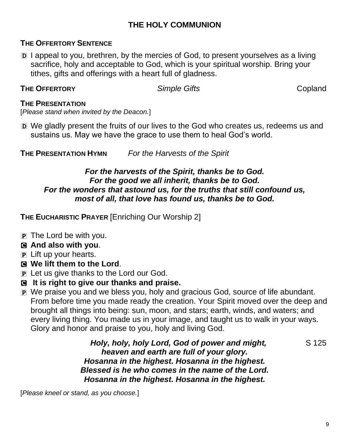#### **THE HOLY COMMUNION**

#### **THE OFFERTORY SENTENCE**

D I appeal to you, brethren, by the mercies of God, to present yourselves as a living sacrifice, holy and acceptable to God, which is your spiritual worship. Bring your tithes, gifts and offerings with a heart full of gladness.

#### **THE OFFERTORY** *Simple Gifts* Copland

#### **THE PRESENTATION**

[*Please stand when invited by the Deacon.*]

D We gladly present the fruits of our lives to the God who creates us, redeems us and sustains us. May we have the grace to use them to heal God's world.

**THE PRESENTATION HYMN** *For the Harvests of the Spirit*

#### *For the harvests of the Spirit, thanks be to God. For the good we all inherit, thanks be to God. For the wonders that astound us, for the truths that still confound us, most of all, that love has found us, thanks be to God.*

**THE EUCHARISTIC PRAYER** [Enriching Our Worship 2]

 $\mathbf{P}$  The Lord be with you.

# C **And also with you**.

- P Lift up your hearts.
- C **We lift them to the Lord**.
- P Let us give thanks to the Lord our God.
- C **It is right to give our thanks and praise.**
- P We praise you and we bless you, holy and gracious God, source of life abundant. From before time you made ready the creation. Your Spirit moved over the deep and brought all things into being: sun, moon, and stars; earth, winds, and waters; and every living thing. You made us in your image, and taught us to walk in your ways. Glory and honor and praise to you, holy and living God.

*Holy, holy, holy Lord, God of power and might,* S 125 *heaven and earth are full of your glory. Hosanna in the highest. Hosanna in the highest. Blessed is he who comes in the name of the Lord. Hosanna in the highest. Hosanna in the highest.*

[*Please kneel or stand, as you choose.*]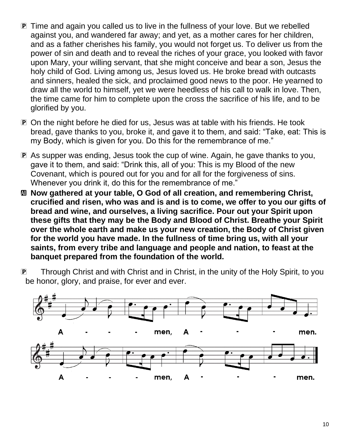- P Time and again you called us to live in the fullness of your love. But we rebelled against you, and wandered far away; and yet, as a mother cares for her children, and as a father cherishes his family, you would not forget us. To deliver us from the power of sin and death and to reveal the riches of your grace, you looked with favor upon Mary, your willing servant, that she might conceive and bear a son, Jesus the holy child of God. Living among us, Jesus loved us. He broke bread with outcasts and sinners, healed the sick, and proclaimed good news to the poor. He yearned to draw all the world to himself, yet we were heedless of his call to walk in love. Then, the time came for him to complete upon the cross the sacrifice of his life, and to be glorified by you.
- P On the night before he died for us, Jesus was at table with his friends. He took bread, gave thanks to you, broke it, and gave it to them, and said: "Take, eat: This is my Body, which is given for you. Do this for the remembrance of me."
- P As supper was ending, Jesus took the cup of wine. Again, he gave thanks to you, gave it to them, and said: "Drink this, all of you: This is my Blood of the new Covenant, which is poured out for you and for all for the forgiveness of sins. Whenever you drink it, do this for the remembrance of me."
- a **Now gathered at your table, O God of all creation, and remembering Christ, crucified and risen, who was and is and is to come, we offer to you our gifts of bread and wine, and ourselves, a living sacrifice. Pour out your Spirit upon these gifts that they may be the Body and Blood of Christ. Breathe your Spirit over the whole earth and make us your new creation, the Body of Christ given for the world you have made. In the fullness of time bring us, with all your saints, from every tribe and language and people and nation, to feast at the banquet prepared from the foundation of the world.**

P Through Christ and with Christ and in Christ, in the unity of the Holy Spirit, to you be honor, glory, and praise, for ever and ever.

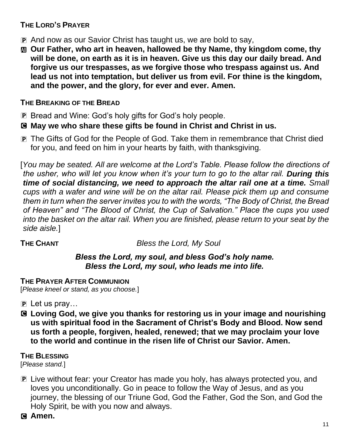#### **THE LORD'S PRAYER**

- P And now as our Savior Christ has taught us, we are bold to say,
- a **Our Father, who art in heaven, hallowed be thy Name, thy kingdom come, thy will be done, on earth as it is in heaven. Give us this day our daily bread. And forgive us our trespasses, as we forgive those who trespass against us. And lead us not into temptation, but deliver us from evil. For thine is the kingdom, and the power, and the glory, for ever and ever. Amen.**

#### **THE BREAKING OF THE BREAD**

- P Bread and Wine: God's holy gifts for God's holy people.
- C **May we who share these gifts be found in Christ and Christ in us.**
- P The Gifts of God for the People of God. Take them in remembrance that Christ died for you, and feed on him in your hearts by faith, with thanksgiving.

[*You may be seated. All are welcome at the Lord's Table. Please follow the directions of the usher, who will let you know when it's your turn to go to the altar rail. During this time of social distancing, we need to approach the altar rail one at a time. Small cups with a wafer and wine will be on the altar rail. Please pick them up and consume them in turn when the server invites you to with the words, "The Body of Christ, the Bread of Heaven" and "The Blood of Christ, the Cup of Salvation." Place the cups you used into the basket on the altar rail. When you are finished, please return to your seat by the side aisle.*]

**THE CHANT** *Bless the Lord, My Soul*

#### *Bless the Lord, my soul, and bless God's holy name. Bless the Lord, my soul, who leads me into life.*

#### **THE PRAYER AFTER COMMUNION**

[*Please kneel or stand, as you choose.*]

- $\mathbf{P}$  Let us pray...
- C **Loving God, we give you thanks for restoring us in your image and nourishing us with spiritual food in the Sacrament of Christ's Body and Blood. Now send us forth a people, forgiven, healed, renewed; that we may proclaim your love to the world and continue in the risen life of Christ our Savior. Amen.**

#### **THE BLESSING**

[*Please stand.*]

P Live without fear: your Creator has made you holy, has always protected you, and loves you unconditionally. Go in peace to follow the Way of Jesus, and as you journey, the blessing of our Triune God, God the Father, God the Son, and God the Holy Spirit, be with you now and always.

#### C **Amen.**